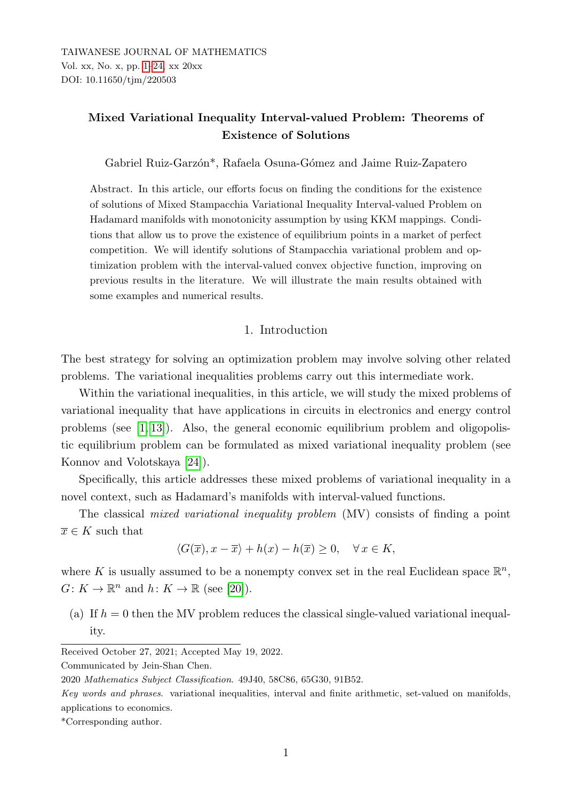# <span id="page-0-0"></span>Mixed Variational Inequality Interval-valued Problem: Theorems of Existence of Solutions

Gabriel Ruiz-Garzón<sup>\*</sup>, Rafaela Osuna-Gómez and Jaime Ruiz-Zapatero

Abstract. In this article, our efforts focus on finding the conditions for the existence of solutions of Mixed Stampacchia Variational Inequality Interval-valued Problem on Hadamard manifolds with monotonicity assumption by using KKM mappings. Conditions that allow us to prove the existence of equilibrium points in a market of perfect competition. We will identify solutions of Stampacchia variational problem and optimization problem with the interval-valued convex objective function, improving on previous results in the literature. We will illustrate the main results obtained with some examples and numerical results.

### 1. Introduction

The best strategy for solving an optimization problem may involve solving other related problems. The variational inequalities problems carry out this intermediate work.

Within the variational inequalities, in this article, we will study the mixed problems of variational inequality that have applications in circuits in electronics and energy control problems (see [\[1,](#page-19-0) [13\]](#page-20-0)). Also, the general economic equilibrium problem and oligopolistic equilibrium problem can be formulated as mixed variational inequality problem (see Konnov and Volotskaya [\[24\]](#page-21-0)).

Specifically, this article addresses these mixed problems of variational inequality in a novel context, such as Hadamard's manifolds with interval-valued functions.

The classical mixed variational inequality problem (MV) consists of finding a point  $\overline{x} \in K$  such that

$$
\langle G(\overline{x}), x - \overline{x} \rangle + h(x) - h(\overline{x}) \ge 0, \quad \forall x \in K,
$$

where K is usually assumed to be a nonempty convex set in the real Euclidean space  $\mathbb{R}^n$ ,  $G: K \to \mathbb{R}^n$  and  $h: K \to \mathbb{R}$  (see [\[20\]](#page-21-1)).

(a) If  $h = 0$  then the MV problem reduces the classical single-valued variational inequality.

Communicated by Jein-Shan Chen.

Received October 27, 2021; Accepted May 19, 2022.

<sup>2020</sup> Mathematics Subject Classification. 49J40, 58C86, 65G30, 91B52.

Key words and phrases. variational inequalities, interval and finite arithmetic, set-valued on manifolds, applications to economics.

<sup>\*</sup>Corresponding author.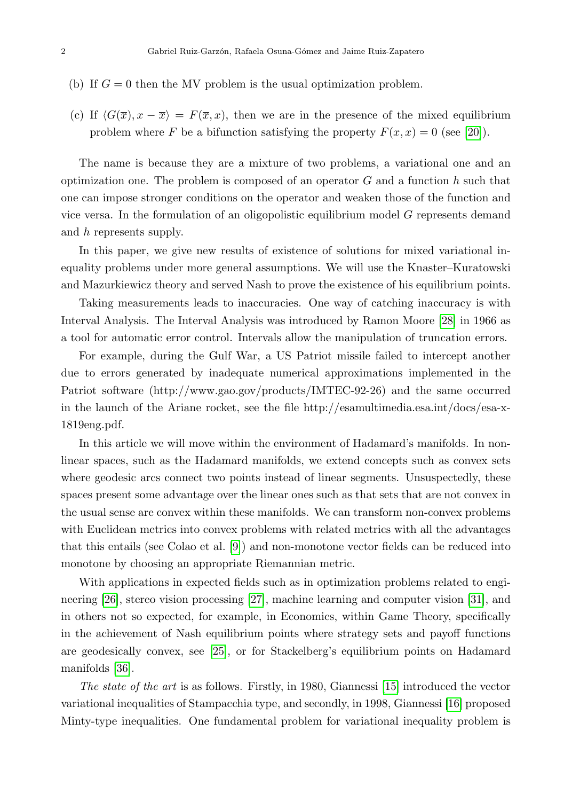- (b) If  $G = 0$  then the MV problem is the usual optimization problem.
- (c) If  $\langle G(\overline{x}), x \overline{x} \rangle = F(\overline{x}, x)$ , then we are in the presence of the mixed equilibrium problem where F be a bifunction satisfying the property  $F(x, x) = 0$  (see [\[20\]](#page-21-1)).

The name is because they are a mixture of two problems, a variational one and an optimization one. The problem is composed of an operator  $G$  and a function h such that one can impose stronger conditions on the operator and weaken those of the function and vice versa. In the formulation of an oligopolistic equilibrium model  $G$  represents demand and h represents supply.

In this paper, we give new results of existence of solutions for mixed variational inequality problems under more general assumptions. We will use the Knaster–Kuratowski and Mazurkiewicz theory and served Nash to prove the existence of his equilibrium points.

Taking measurements leads to inaccuracies. One way of catching inaccuracy is with Interval Analysis. The Interval Analysis was introduced by Ramon Moore [\[28\]](#page-21-2) in 1966 as a tool for automatic error control. Intervals allow the manipulation of truncation errors.

For example, during the Gulf War, a US Patriot missile failed to intercept another due to errors generated by inadequate numerical approximations implemented in the Patriot software (http://www.gao.gov/products/IMTEC-92-26) and the same occurred in the launch of the Ariane rocket, see the file http://esamultimedia.esa.int/docs/esa-x-1819eng.pdf.

In this article we will move within the environment of Hadamard's manifolds. In nonlinear spaces, such as the Hadamard manifolds, we extend concepts such as convex sets where geodesic arcs connect two points instead of linear segments. Unsuspectedly, these spaces present some advantage over the linear ones such as that sets that are not convex in the usual sense are convex within these manifolds. We can transform non-convex problems with Euclidean metrics into convex problems with related metrics with all the advantages that this entails (see Colao et al. [\[9\]](#page-20-1)) and non-monotone vector fields can be reduced into monotone by choosing an appropriate Riemannian metric.

With applications in expected fields such as in optimization problems related to engineering [\[26\]](#page-21-3), stereo vision processing [\[27\]](#page-21-4), machine learning and computer vision [\[31\]](#page-22-0), and in others not so expected, for example, in Economics, within Game Theory, specifically in the achievement of Nash equilibrium points where strategy sets and payoff functions are geodesically convex, see [\[25\]](#page-21-5), or for Stackelberg's equilibrium points on Hadamard manifolds [\[36\]](#page-22-1).

The state of the art is as follows. Firstly, in 1980, Giannessi [\[15\]](#page-21-6) introduced the vector variational inequalities of Stampacchia type, and secondly, in 1998, Giannessi [\[16\]](#page-21-7) proposed Minty-type inequalities. One fundamental problem for variational inequality problem is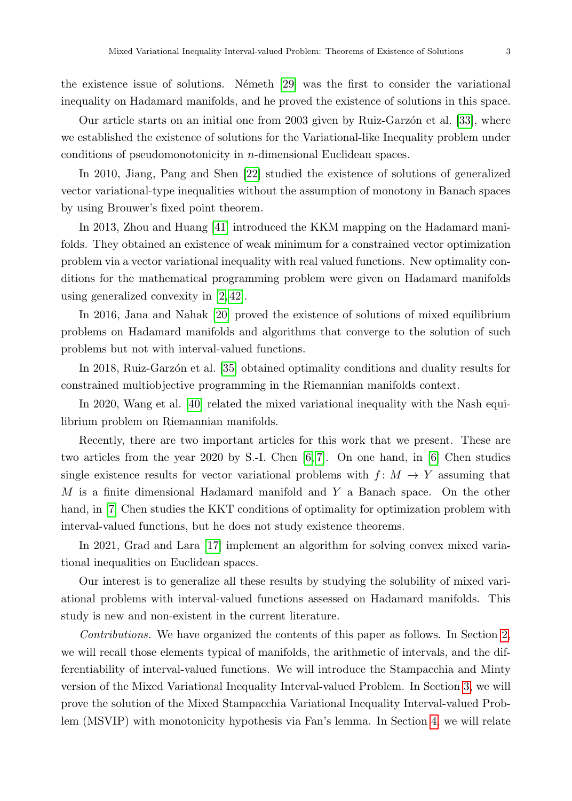the existence issue of solutions. Németh  $[29]$  was the first to consider the variational inequality on Hadamard manifolds, and he proved the existence of solutions in this space.

Our article starts on an initial one from 2003 given by Ruiz-Garzon et al. [\[33\]](#page-22-3), where we established the existence of solutions for the Variational-like Inequality problem under conditions of pseudomonotonicity in n-dimensional Euclidean spaces.

In 2010, Jiang, Pang and Shen [\[22\]](#page-21-8) studied the existence of solutions of generalized vector variational-type inequalities without the assumption of monotony in Banach spaces by using Brouwer's fixed point theorem.

In 2013, Zhou and Huang [\[41\]](#page-22-4) introduced the KKM mapping on the Hadamard manifolds. They obtained an existence of weak minimum for a constrained vector optimization problem via a vector variational inequality with real valued functions. New optimality conditions for the mathematical programming problem were given on Hadamard manifolds using generalized convexity in [\[2,](#page-20-2) [42\]](#page-23-0).

In 2016, Jana and Nahak [\[20\]](#page-21-1) proved the existence of solutions of mixed equilibrium problems on Hadamard manifolds and algorithms that converge to the solution of such problems but not with interval-valued functions.

In 2018, Ruiz-Garzon et al. [\[35\]](#page-22-5) obtained optimality conditions and duality results for constrained multiobjective programming in the Riemannian manifolds context.

In 2020, Wang et al. [\[40\]](#page-22-6) related the mixed variational inequality with the Nash equilibrium problem on Riemannian manifolds.

Recently, there are two important articles for this work that we present. These are two articles from the year 2020 by S.-I. Chen [\[6,](#page-20-3) [7\]](#page-20-4). On one hand, in [\[6\]](#page-20-3) Chen studies single existence results for vector variational problems with  $f: M \to Y$  assuming that M is a finite dimensional Hadamard manifold and  $Y$  a Banach space. On the other hand, in [\[7\]](#page-20-4) Chen studies the KKT conditions of optimality for optimization problem with interval-valued functions, but he does not study existence theorems.

In 2021, Grad and Lara [\[17\]](#page-21-9) implement an algorithm for solving convex mixed variational inequalities on Euclidean spaces.

Our interest is to generalize all these results by studying the solubility of mixed variational problems with interval-valued functions assessed on Hadamard manifolds. This study is new and non-existent in the current literature.

Contributions. We have organized the contents of this paper as follows. In Section [2,](#page-3-0) we will recall those elements typical of manifolds, the arithmetic of intervals, and the differentiability of interval-valued functions. We will introduce the Stampacchia and Minty version of the Mixed Variational Inequality Interval-valued Problem. In Section [3,](#page-8-0) we will prove the solution of the Mixed Stampacchia Variational Inequality Interval-valued Problem (MSVIP) with monotonicity hypothesis via Fan's lemma. In Section [4,](#page-15-0) we will relate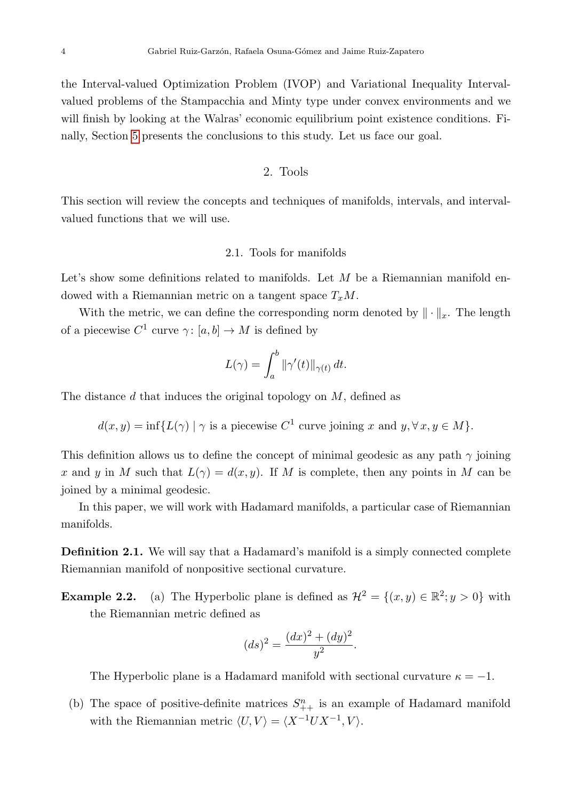the Interval-valued Optimization Problem (IVOP) and Variational Inequality Intervalvalued problems of the Stampacchia and Minty type under convex environments and we will finish by looking at the Walras' economic equilibrium point existence conditions. Finally, Section [5](#page-18-0) presents the conclusions to this study. Let us face our goal.

2. Tools

<span id="page-3-0"></span>This section will review the concepts and techniques of manifolds, intervals, and intervalvalued functions that we will use.

#### 2.1. Tools for manifolds

Let's show some definitions related to manifolds. Let  $M$  be a Riemannian manifold endowed with a Riemannian metric on a tangent space  $T_xM$ .

With the metric, we can define the corresponding norm denoted by  $\|\cdot\|_x$ . The length of a piecewise  $C^1$  curve  $\gamma: [a, b] \to M$  is defined by

$$
L(\gamma) = \int_a^b \|\gamma'(t)\|_{\gamma(t)} dt.
$$

The distance d that induces the original topology on  $M$ , defined as

$$
d(x, y) = \inf \{ L(\gamma) \mid \gamma \text{ is a piecewise } C^1 \text{ curve joining } x \text{ and } y, \forall x, y \in M \}.
$$

This definition allows us to define the concept of minimal geodesic as any path  $\gamma$  joining x and y in M such that  $L(\gamma) = d(x, y)$ . If M is complete, then any points in M can be joined by a minimal geodesic.

In this paper, we will work with Hadamard manifolds, a particular case of Riemannian manifolds.

**Definition 2.1.** We will say that a Hadamard's manifold is a simply connected complete Riemannian manifold of nonpositive sectional curvature.

**Example 2.2.** (a) The Hyperbolic plane is defined as  $\mathcal{H}^2 = \{(x, y) \in \mathbb{R}^2; y > 0\}$  with the Riemannian metric defined as

$$
(ds)^2 = \frac{(dx)^2 + (dy)^2}{y^2}
$$

.

The Hyperbolic plane is a Hadamard manifold with sectional curvature  $\kappa = -1$ .

(b) The space of positive-definite matrices  $S_{++}^n$  is an example of Hadamard manifold with the Riemannian metric  $\langle U, V \rangle = \langle X^{-1}UX^{-1}, V \rangle$ .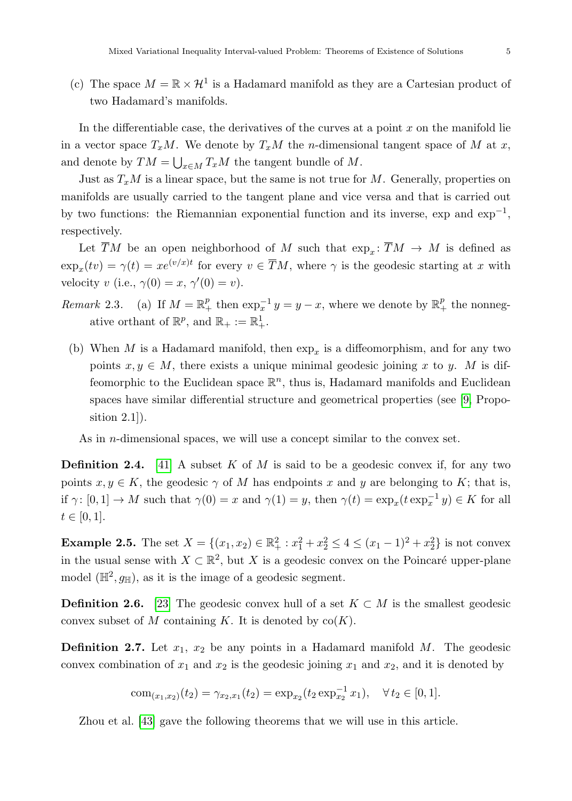(c) The space  $M = \mathbb{R} \times \mathcal{H}^1$  is a Hadamard manifold as they are a Cartesian product of two Hadamard's manifolds.

In the differentiable case, the derivatives of the curves at a point  $x$  on the manifold lie in a vector space  $T_xM$ . We denote by  $T_xM$  the *n*-dimensional tangent space of M at x, and denote by  $TM = \bigcup_{x \in M} T_x M$  the tangent bundle of M.

Just as  $T_xM$  is a linear space, but the same is not true for M. Generally, properties on manifolds are usually carried to the tangent plane and vice versa and that is carried out by two functions: the Riemannian exponential function and its inverse, exp and  $\exp^{-1}$ , respectively.

Let TM be an open neighborhood of M such that  $\exp_x: TM \to M$  is defined as  $\exp_x(tv) = \gamma(t) = xe^{(v/x)t}$  for every  $v \in \overline{T}M$ , where  $\gamma$  is the geodesic starting at x with velocity v (i.e.,  $\gamma(0) = x, \gamma'(0) = v$ ).

- Remark 2.3. (a) If  $M = \mathbb{R}^p_+$  then  $\exp_x^{-1} y = y x$ , where we denote by  $\mathbb{R}^p_+$  the nonnegative orthant of  $\mathbb{R}^p$ , and  $\mathbb{R}_+ := \mathbb{R}^1_+$ .
	- (b) When M is a Hadamard manifold, then  $\exp_x$  is a diffeomorphism, and for any two points  $x, y \in M$ , there exists a unique minimal geodesic joining x to y. M is diffeomorphic to the Euclidean space  $\mathbb{R}^n$ , thus is, Hadamard manifolds and Euclidean spaces have similar differential structure and geometrical properties (see [\[9,](#page-20-1) Proposition 2.1]).

As in *n*-dimensional spaces, we will use a concept similar to the convex set.

**Definition 2.4.** [\[41\]](#page-22-4) A subset K of M is said to be a geodesic convex if, for any two points  $x, y \in K$ , the geodesic  $\gamma$  of M has endpoints x and y are belonging to K; that is, if  $\gamma: [0,1] \to M$  such that  $\gamma(0) = x$  and  $\gamma(1) = y$ , then  $\gamma(t) = \exp_x(t \exp_x^{-1} y) \in K$  for all  $t \in [0, 1].$ 

**Example 2.5.** The set  $X = \{(x_1, x_2) \in \mathbb{R}_+^2 : x_1^2 + x_2^2 \le 4 \le (x_1 - 1)^2 + x_2^2\}$  is not convex in the usual sense with  $X \subset \mathbb{R}^2$ , but X is a geodesic convex on the Poincaré upper-plane model  $(\mathbb{H}^2, g_{\mathbb{H}})$ , as it is the image of a geodesic segment.

**Definition 2.6.** [\[23\]](#page-21-10) The geodesic convex hull of a set  $K \subset M$  is the smallest geodesic convex subset of M containing K. It is denoted by  $co(K)$ .

**Definition 2.7.** Let  $x_1$ ,  $x_2$  be any points in a Hadamard manifold M. The geodesic convex combination of  $x_1$  and  $x_2$  is the geodesic joining  $x_1$  and  $x_2$ , and it is denoted by

com
$$
(x_1,x_2)(t_2) = \gamma_{x_2,x_1}(t_2) = \exp_{x_2}(t_2 \exp_{x_2}^{-1} x_1), \quad \forall t_2 \in [0,1].
$$

Zhou et al. [\[43\]](#page-23-1) gave the following theorems that we will use in this article.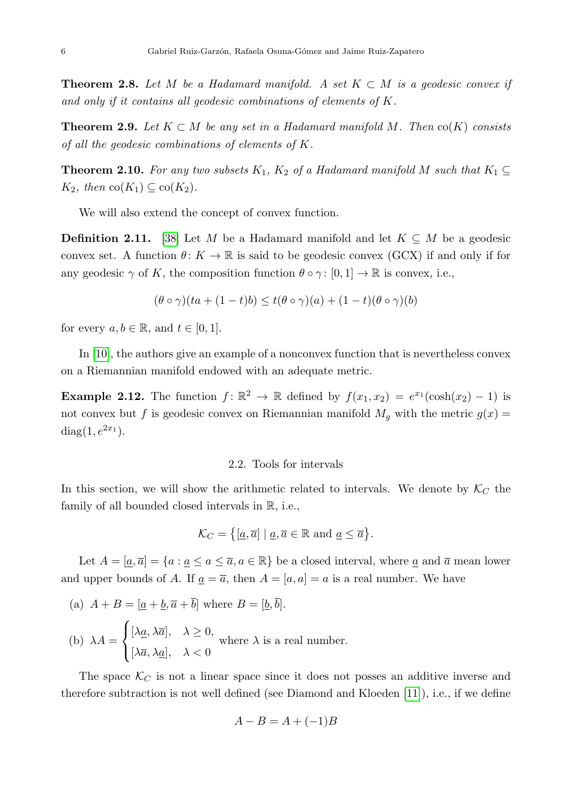**Theorem 2.8.** Let M be a Hadamard manifold. A set  $K \subset M$  is a geodesic convex if and only if it contains all geodesic combinations of elements of K.

**Theorem 2.9.** Let  $K \subset M$  be any set in a Hadamard manifold M. Then  $co(K)$  consists of all the geodesic combinations of elements of K.

**Theorem 2.10.** For any two subsets  $K_1$ ,  $K_2$  of a Hadamard manifold M such that  $K_1 \subseteq$  $K_2$ , then  $\text{co}(K_1) \subseteq \text{co}(K_2)$ .

We will also extend the concept of convex function.

**Definition 2.11.** [\[38\]](#page-22-7) Let M be a Hadamard manifold and let  $K \subseteq M$  be a geodesic convex set. A function  $\theta: K \to \mathbb{R}$  is said to be geodesic convex (GCX) if and only if for any geodesic  $\gamma$  of K, the composition function  $\theta \circ \gamma : [0,1] \to \mathbb{R}$  is convex, i.e.,

$$
(\theta \circ \gamma)(ta + (1-t)b) \le t(\theta \circ \gamma)(a) + (1-t)(\theta \circ \gamma)(b)
$$

for every  $a, b \in \mathbb{R}$ , and  $t \in [0, 1]$ .

In [\[10\]](#page-20-5), the authors give an example of a nonconvex function that is nevertheless convex on a Riemannian manifold endowed with an adequate metric.

**Example 2.12.** The function  $f: \mathbb{R}^2 \to \mathbb{R}$  defined by  $f(x_1, x_2) = e^{x_1}(\cosh(x_2) - 1)$  is not convex but f is geodesic convex on Riemannian manifold  $M_g$  with the metric  $g(x) =$ diag $(1, e^{2x_1}).$ 

#### 2.2. Tools for intervals

In this section, we will show the arithmetic related to intervals. We denote by  $\mathcal{K}_C$  the family of all bounded closed intervals in R, i.e.,

$$
\mathcal{K}_C = \{ [\underline{a}, \overline{a}] \mid \underline{a}, \overline{a} \in \mathbb{R} \text{ and } \underline{a} \le \overline{a} \}.
$$

Let  $A = [\underline{a}, \overline{a}] = \{a : \underline{a} \le a \le \overline{a}, a \in \mathbb{R}\}$  be a closed interval, where  $\underline{a}$  and  $\overline{a}$  mean lower and upper bounds of A. If  $\underline{a} = \overline{a}$ , then  $A = [a, a] = a$  is a real number. We have

(a)  $A + B = [a + \underline{b}, \overline{a} + \overline{b}]$  where  $B = [\underline{b}, \overline{b}].$ 

(b) 
$$
\lambda A = \begin{cases} [\lambda \underline{a}, \lambda \overline{a}], & \lambda \ge 0, \\ [\lambda \overline{a}, \lambda \underline{a}], & \lambda < 0 \end{cases}
$$
 where  $\lambda$  is a real number.

The space  $\mathcal{K}_C$  is not a linear space since it does not posses an additive inverse and therefore subtraction is not well defined (see Diamond and Kloeden [\[11\]](#page-20-6)), i.e., if we define

$$
A - B = A + (-1)B
$$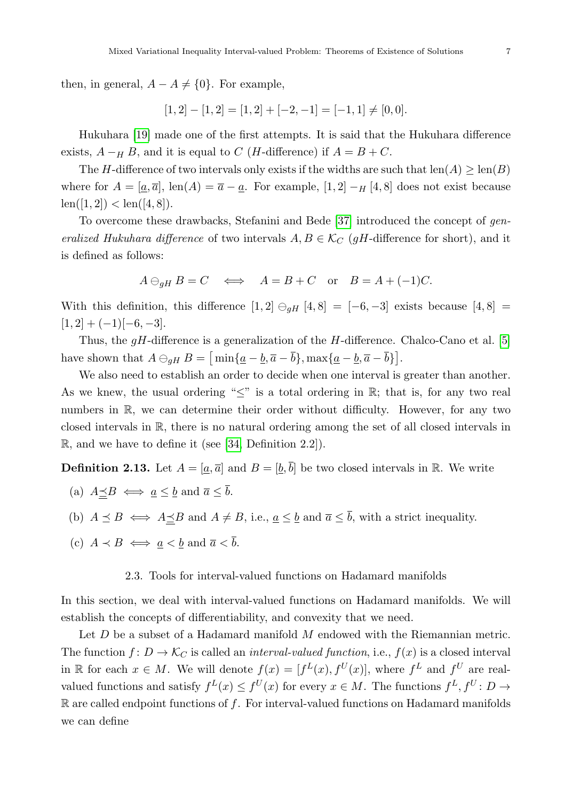then, in general,  $A - A \neq \{0\}$ . For example,

$$
[1,2] - [1,2] = [1,2] + [-2,-1] = [-1,1] \neq [0,0].
$$

Hukuhara [\[19\]](#page-21-11) made one of the first attempts. It is said that the Hukuhara difference exists,  $A - H B$ , and it is equal to C (*H*-difference) if  $A = B + C$ .

The H-difference of two intervals only exists if the widths are such that  $\text{len}(A) \ge \text{len}(B)$ where for  $A = [\underline{a}, \overline{a}]$ , len $(A) = \overline{a} - \underline{a}$ . For example,  $[1, 2] - H[4, 8]$  does not exist because  $len([1, 2]) < len([4, 8]).$ 

To overcome these drawbacks, Stefanini and Bede [\[37\]](#page-22-8) introduced the concept of generalized Hukuhara difference of two intervals  $A, B \in \mathcal{K}_C$  (gH-difference for short), and it is defined as follows:

$$
A \ominus_{gH} B = C \iff A = B + C
$$
 or  $B = A + (-1)C$ .

With this definition, this difference  $[1, 2] \ominus_{qH} [4, 8] = [-6, -3]$  exists because  $[4, 8] =$  $[1, 2] + (-1)[-6, -3].$ 

Thus, the  $qH$ -difference is a generalization of the  $H$ -difference. Chalco-Cano et al. [\[5\]](#page-20-7) have shown that  $A \ominus_{gH} B = \left[ \min \{ \underline{a} - \underline{b}, \overline{a} - \overline{b} \}, \max \{ \underline{a} - \underline{b}, \overline{a} - \overline{b} \} \right].$ 

We also need to establish an order to decide when one interval is greater than another. As we knew, the usual ordering " $\leq$ " is a total ordering in R; that is, for any two real numbers in R, we can determine their order without difficulty. However, for any two closed intervals in R, there is no natural ordering among the set of all closed intervals in R, and we have to define it (see [\[34,](#page-22-9) Definition 2.2]).

**Definition 2.13.** Let  $A = [\underline{a}, \overline{a}]$  and  $B = [\underline{b}, \overline{b}]$  be two closed intervals in R. We write

- (a)  $A \preceq B \iff \underline{a} \leq \underline{b}$  and  $\overline{a} \leq \overline{b}$ .
- (b)  $A \preceq B \iff A \preceq B$  and  $A \neq B$ , i.e.,  $\underline{a} \leq \underline{b}$  and  $\overline{a} \leq \overline{b}$ , with a strict inequality.
- (c)  $A \prec B \iff a < b$  and  $\overline{a} < \overline{b}$ .

#### 2.3. Tools for interval-valued functions on Hadamard manifolds

In this section, we deal with interval-valued functions on Hadamard manifolds. We will establish the concepts of differentiability, and convexity that we need.

Let  $D$  be a subset of a Hadamard manifold  $M$  endowed with the Riemannian metric. The function  $f: D \to \mathcal{K}_C$  is called an *interval-valued function*, i.e.,  $f(x)$  is a closed interval in R for each  $x \in M$ . We will denote  $f(x) = [f^L(x), f^U(x)]$ , where  $f^L$  and  $f^U$  are realvalued functions and satisfy  $f^L(x) \leq f^U(x)$  for every  $x \in M$ . The functions  $f^L, f^U \colon D \to$  $\mathbb R$  are called endpoint functions of f. For interval-valued functions on Hadamard manifolds we can define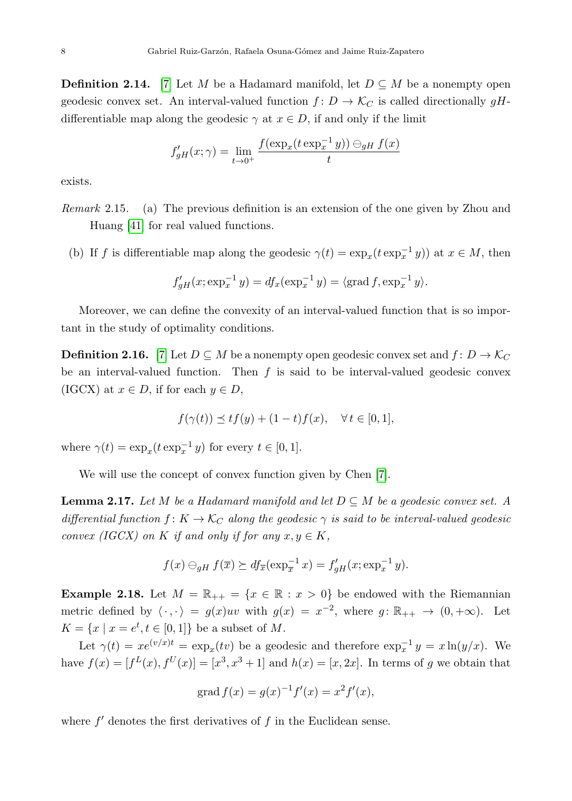**Definition 2.14.** [\[7\]](#page-20-4) Let M be a Hadamard manifold, let  $D \subseteq M$  be a nonempty open geodesic convex set. An interval-valued function  $f: D \to \mathcal{K}_C$  is called directionally gHdifferentiable map along the geodesic  $\gamma$  at  $x \in D$ , if and only if the limit

$$
f'_{gH}(x; \gamma) = \lim_{t \to 0^+} \frac{f(\exp_x(t \exp_x^{-1} y)) \ominus_{gH} f(x)}{t}
$$

exists.

Remark 2.15. (a) The previous definition is an extension of the one given by Zhou and Huang [\[41\]](#page-22-4) for real valued functions.

(b) If f is differentiable map along the geodesic  $\gamma(t) = \exp_x(t \exp_x^{-1} y)$  at  $x \in M$ , then

$$
f'_{gH}(x; \exp_x^{-1} y) = df_x(\exp_x^{-1} y) = \langle \text{grad } f, \exp_x^{-1} y \rangle.
$$

Moreover, we can define the convexity of an interval-valued function that is so important in the study of optimality conditions.

**Definition 2.16.** [\[7\]](#page-20-4) Let  $D \subseteq M$  be a nonempty open geodesic convex set and  $f: D \to \mathcal{K}_C$ be an interval-valued function. Then  $f$  is said to be interval-valued geodesic convex (IGCX) at  $x \in D$ , if for each  $y \in D$ ,

$$
f(\gamma(t)) \preceq tf(y) + (1-t)f(x), \quad \forall t \in [0,1],
$$

where  $\gamma(t) = \exp_x(t \exp_x^{-1} y)$  for every  $t \in [0, 1]$ .

We will use the concept of convex function given by Chen [\[7\]](#page-20-4).

**Lemma 2.17.** Let M be a Hadamard manifold and let  $D \subseteq M$  be a geodesic convex set. A differential function  $f: K \to \mathcal{K}_C$  along the geodesic  $\gamma$  is said to be interval-valued geodesic convex (IGCX) on K if and only if for any  $x, y \in K$ ,

$$
f(x) \ominus_{gH} f(\overline{x}) \succeq df_{\overline{x}}(\exp_{\overline{x}}^{-1} x) = f'_{gH}(x; \exp_{x}^{-1} y).
$$

<span id="page-7-0"></span>**Example 2.18.** Let  $M = \mathbb{R}_{++} = \{x \in \mathbb{R} : x > 0\}$  be endowed with the Riemannian metric defined by  $\langle \cdot, \cdot \rangle = g(x)uv$  with  $g(x) = x^{-2}$ , where  $g: \mathbb{R}_{++} \to (0, +\infty)$ . Let  $K = \{x \mid x = e^t, t \in [0,1]\}$  be a subset of M.

Let  $\gamma(t) = xe^{(v/x)t} = \exp_x(tv)$  be a geodesic and therefore  $\exp_x^{-1} y = x \ln(y/x)$ . We have  $f(x) = [f^{L}(x), f^{U}(x)] = [x^{3}, x^{3} + 1]$  and  $h(x) = [x, 2x]$ . In terms of g we obtain that

$$
grad f(x) = g(x)^{-1} f'(x) = x^2 f'(x),
$$

where  $f'$  denotes the first derivatives of  $f$  in the Euclidean sense.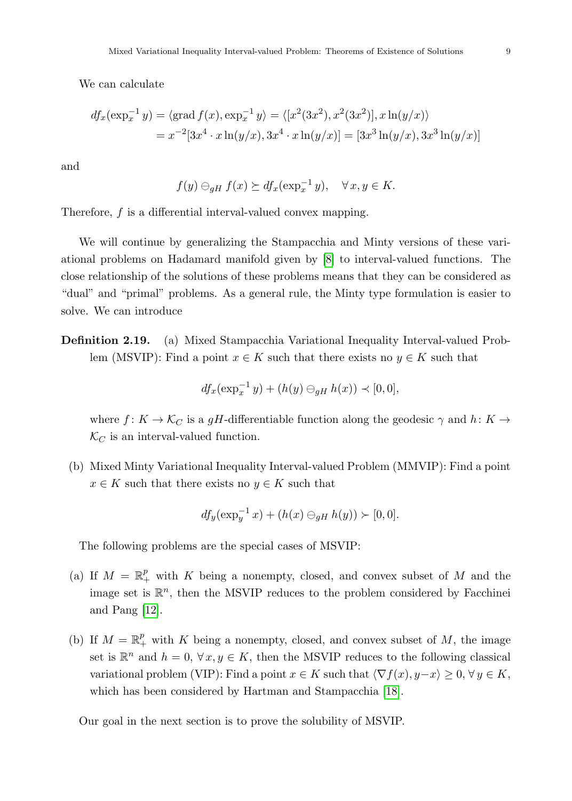We can calculate

$$
df_x(\exp_x^{-1} y) = \langle \text{grad } f(x), \exp_x^{-1} y \rangle = \langle [x^2(3x^2), x^2(3x^2)], x \ln(y/x) \rangle
$$
  
=  $x^{-2}[3x^4 \cdot x \ln(y/x), 3x^4 \cdot x \ln(y/x)] = [3x^3 \ln(y/x), 3x^3 \ln(y/x)]$ 

and

$$
f(y) \ominus_{gH} f(x) \succeq df_x(\exp_x^{-1} y), \quad \forall x, y \in K.
$$

Therefore, f is a differential interval-valued convex mapping.

We will continue by generalizing the Stampacchia and Minty versions of these variational problems on Hadamard manifold given by [\[8\]](#page-20-8) to interval-valued functions. The close relationship of the solutions of these problems means that they can be considered as "dual" and "primal" problems. As a general rule, the Minty type formulation is easier to solve. We can introduce

Definition 2.19. (a) Mixed Stampacchia Variational Inequality Interval-valued Problem (MSVIP): Find a point  $x \in K$  such that there exists no  $y \in K$  such that

$$
df_x(\exp_x^{-1} y) + (h(y) \ominus_{gH} h(x)) \prec [0,0],
$$

where  $f: K \to \mathcal{K}_C$  is a gH-differentiable function along the geodesic  $\gamma$  and  $h: K \to$  $\mathcal{K}_C$  is an interval-valued function.

(b) Mixed Minty Variational Inequality Interval-valued Problem (MMVIP): Find a point  $x \in K$  such that there exists no  $y \in K$  such that

$$
df_y(\exp_y^{-1} x) + (h(x) \ominus_{gH} h(y)) \succ [0,0].
$$

The following problems are the special cases of MSVIP:

- (a) If  $M = \mathbb{R}^p_+$  with K being a nonempty, closed, and convex subset of M and the image set is  $\mathbb{R}^n$ , then the MSVIP reduces to the problem considered by Facchinei and Pang [\[12\]](#page-20-9).
- (b) If  $M = \mathbb{R}^p_+$  with K being a nonempty, closed, and convex subset of M, the image set is  $\mathbb{R}^n$  and  $h = 0, \forall x, y \in K$ , then the MSVIP reduces to the following classical variational problem (VIP): Find a point  $x \in K$  such that  $\langle \nabla f(x), y-x \rangle \geq 0, \forall y \in K$ , which has been considered by Hartman and Stampacchia [\[18\]](#page-21-12).

<span id="page-8-0"></span>Our goal in the next section is to prove the solubility of MSVIP.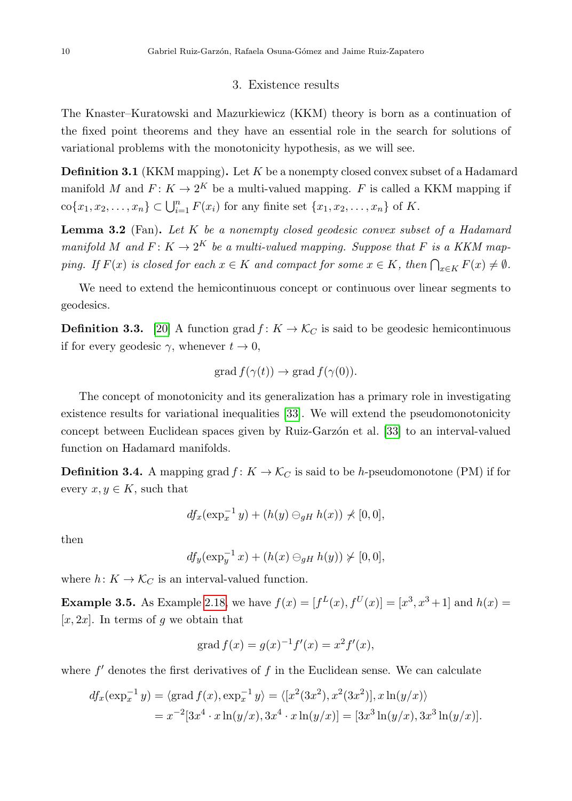## 3. Existence results

The Knaster–Kuratowski and Mazurkiewicz (KKM) theory is born as a continuation of the fixed point theorems and they have an essential role in the search for solutions of variational problems with the monotonicity hypothesis, as we will see.

**Definition 3.1** (KKM mapping). Let  $K$  be a nonempty closed convex subset of a Hadamard manifold M and  $F: K \to 2^K$  be a multi-valued mapping. F is called a KKM mapping if  $\text{co}\{x_1, x_2, \ldots, x_n\} \subset \bigcup_{i=1}^n F(x_i)$  for any finite set  $\{x_1, x_2, \ldots, x_n\}$  of K.

<span id="page-9-0"></span>**Lemma 3.2** (Fan). Let  $K$  be a nonempty closed geodesic convex subset of a Hadamard manifold M and  $F: K \to 2^K$  be a multi-valued mapping. Suppose that F is a KKM mapping. If  $F(x)$  is closed for each  $x \in K$  and compact for some  $x \in K$ , then  $\bigcap_{x \in K} F(x) \neq \emptyset$ .

We need to extend the hemicontinuous concept or continuous over linear segments to geodesics.

**Definition 3.3.** [\[20\]](#page-21-1) A function grad  $f: K \to \mathcal{K}_C$  is said to be geodesic hemicontinuous if for every geodesic  $\gamma$ , whenever  $t \to 0$ ,

$$
\operatorname{grad} f(\gamma(t)) \to \operatorname{grad} f(\gamma(0)).
$$

The concept of monotonicity and its generalization has a primary role in investigating existence results for variational inequalities [\[33\]](#page-22-3). We will extend the pseudomonotonicity concept between Euclidean spaces given by Ruiz-Garzon et al. [\[33\]](#page-22-3) to an interval-valued function on Hadamard manifolds.

**Definition 3.4.** A mapping grad  $f: K \to \mathcal{K}_C$  is said to be h-pseudomonotone (PM) if for every  $x, y \in K$ , such that

$$
df_x(\exp_x^{-1} y) + (h(y) \ominus_{gH} h(x)) \nless [0,0],
$$

then

$$
df_y(\exp_y^{-1}x) + (h(x) \ominus_{gH} h(y)) \not\succ [0,0],
$$

where  $h: K \to \mathcal{K}_C$  is an interval-valued function.

**Example 3.5.** As Example [2.18,](#page-7-0) we have  $f(x) = [f^L(x), f^U(x)] = [x^3, x^3 + 1]$  and  $h(x) =$  $[x, 2x]$ . In terms of g we obtain that

grad 
$$
f(x) = g(x)^{-1}f'(x) = x^2 f'(x)
$$
,

where  $f'$  denotes the first derivatives of  $f$  in the Euclidean sense. We can calculate

$$
df_x(\exp_x^{-1} y) = \langle \text{grad } f(x), \exp_x^{-1} y \rangle = \langle [x^2(3x^2), x^2(3x^2)], x \ln(y/x) \rangle
$$
  
=  $x^{-2}[3x^4 \cdot x \ln(y/x), 3x^4 \cdot x \ln(y/x)] = [3x^3 \ln(y/x), 3x^3 \ln(y/x)].$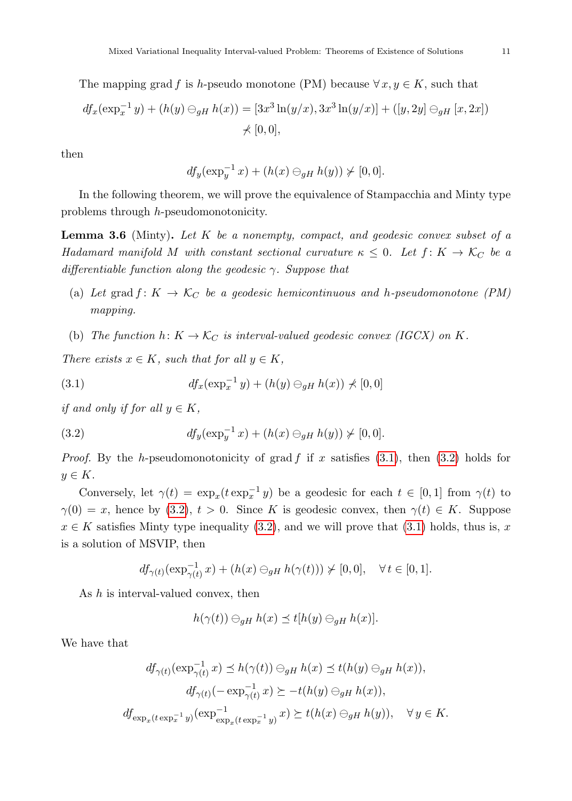The mapping grad f is h-pseudo monotone (PM) because  $\forall x, y \in K$ , such that

$$
df_x(\exp_x^{-1} y) + (h(y) \ominus_{gH} h(x)) = [3x^3 \ln(y/x), 3x^3 \ln(y/x)] + ([y, 2y] \ominus_{gH} [x, 2x])
$$
  
\$\neq [0, 0],

then

$$
df_y(\exp_y^{-1}x) + (h(x) \ominus_{gH} h(y)) \not\succ [0,0].
$$

In the following theorem, we will prove the equivalence of Stampacchia and Minty type problems through h-pseudomonotonicity.

<span id="page-10-2"></span>**Lemma 3.6** (Minty). Let  $K$  be a nonempty, compact, and geodesic convex subset of a Hadamard manifold M with constant sectional curvature  $\kappa \leq 0$ . Let  $f: K \to \mathcal{K}_C$  be a differentiable function along the geodesic  $\gamma$ . Suppose that

- (a) Let grad  $f: K \to \mathcal{K}_C$  be a geodesic hemicontinuous and h-pseudomonotone (PM) mapping.
- (b) The function  $h: K \to \mathcal{K}_C$  is interval-valued geodesic convex (IGCX) on K.

There exists  $x \in K$ , such that for all  $y \in K$ ,

<span id="page-10-0"></span>(3.1) 
$$
df_x(\exp_x^{-1} y) + (h(y) \ominus_{gH} h(x)) \nless [0,0]
$$

if and only if for all  $y \in K$ ,

<span id="page-10-1"></span>(3.2) 
$$
df_y(\exp_y^{-1} x) + (h(x) \ominus_{gH} h(y)) \not\succ [0,0].
$$

*Proof.* By the h-pseudomonotonicity of grad f if x satisfies  $(3.1)$ , then  $(3.2)$  holds for  $y \in K$ .

Conversely, let  $\gamma(t) = \exp_x(t \exp_x^{-1} y)$  be a geodesic for each  $t \in [0,1]$  from  $\gamma(t)$  to  $\gamma(0) = x$ , hence by [\(3.2\)](#page-10-1),  $t > 0$ . Since K is geodesic convex, then  $\gamma(t) \in K$ . Suppose  $x \in K$  satisfies Minty type inequality [\(3.2\)](#page-10-1), and we will prove that [\(3.1\)](#page-10-0) holds, thus is, x is a solution of MSVIP, then

$$
df_{\gamma(t)}(\exp_{\gamma(t)}^{-1}x) + (h(x) \ominus_{gH} h(\gamma(t))) \not\succ [0,0], \quad \forall t \in [0,1].
$$

As h is interval-valued convex, then

$$
h(\gamma(t)) \ominus_{gH} h(x) \preceq t[h(y) \ominus_{gH} h(x)].
$$

We have that

$$
df_{\gamma(t)}(\exp_{\gamma(t)}^{-1}x) \preceq h(\gamma(t)) \ominus_{gH} h(x) \preceq t(h(y) \ominus_{gH} h(x)),
$$
  

$$
df_{\gamma(t)}(-\exp_{\gamma(t)}^{-1}x) \succeq -t(h(y) \ominus_{gH} h(x)),
$$
  

$$
df_{\exp_x(t \exp_x^{-1}y)}(\exp_{\exp_x(t \exp_x^{-1}y)}^{-1}x) \succeq t(h(x) \ominus_{gH} h(y)), \quad \forall y \in K.
$$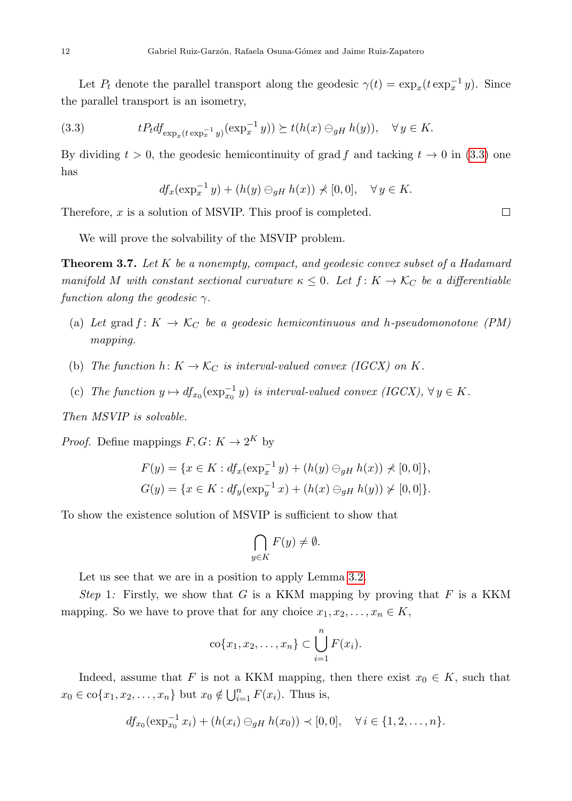Let  $P_t$  denote the parallel transport along the geodesic  $\gamma(t) = \exp_x(t \exp_x^{-1} y)$ . Since the parallel transport is an isometry,

(3.3) 
$$
tP_t df_{\exp_x(t \exp_x^{-1} y)}(\exp_x^{-1} y)) \succeq t(h(x) \ominus_{gH} h(y)), \quad \forall y \in K.
$$

By dividing  $t > 0$ , the geodesic hemicontinuity of grad f and tacking  $t \to 0$  in [\(3.3\)](#page-11-0) one has

<span id="page-11-0"></span>
$$
df_x(\exp_x^{-1}y) + (h(y) \ominus_{gH} h(x)) \nless [0,0], \quad \forall y \in K.
$$

Therefore,  $x$  is a solution of MSVIP. This proof is completed.

We will prove the solvability of the MSVIP problem.

<span id="page-11-1"></span>**Theorem 3.7.** Let  $K$  be a nonempty, compact, and geodesic convex subset of a Hadamard manifold M with constant sectional curvature  $\kappa \leq 0$ . Let  $f: K \to \mathcal{K}_C$  be a differentiable function along the geodesic  $\gamma$ .

- (a) Let grad  $f: K \to \mathcal{K}_C$  be a geodesic hemicontinuous and h-pseudomonotone (PM) mapping.
- (b) The function  $h: K \to \mathcal{K}_C$  is interval-valued convex (IGCX) on K.
- (c) The function  $y \mapsto df_{x_0}(\exp_{x_0}^{-1}y)$  is interval-valued convex (IGCX),  $\forall y \in K$ .

Then MSVIP is solvable.

*Proof.* Define mappings  $F, G: K \to 2^K$  by

$$
F(y) = \{x \in K : df_x(\exp_x^{-1} y) + (h(y) \ominus_{gH} h(x)) \nless [0, 0]\},
$$
  
\n
$$
G(y) = \{x \in K : df_y(\exp_y^{-1} x) + (h(x) \ominus_{gH} h(y)) \nless [0, 0]\}.
$$

To show the existence solution of MSVIP is sufficient to show that

$$
\bigcap_{y \in K} F(y) \neq \emptyset.
$$

Let us see that we are in a position to apply Lemma [3.2.](#page-9-0)

Step 1: Firstly, we show that G is a KKM mapping by proving that F is a KKM mapping. So we have to prove that for any choice  $x_1, x_2, \ldots, x_n \in K$ ,

$$
\operatorname{co}\{x_1,x_2,\ldots,x_n\}\subset \bigcup_{i=1}^n F(x_i).
$$

Indeed, assume that F is not a KKM mapping, then there exist  $x_0 \in K$ , such that  $x_0 \in \text{co}\{x_1, x_2, \ldots, x_n\}$  but  $x_0 \notin \bigcup_{i=1}^n F(x_i)$ . Thus is,

$$
df_{x_0}(\exp_{x_0}^{-1}x_i) + (h(x_i) \ominus_{gH} h(x_0)) \prec [0,0], \quad \forall i \in \{1,2,\ldots,n\}.
$$

 $\Box$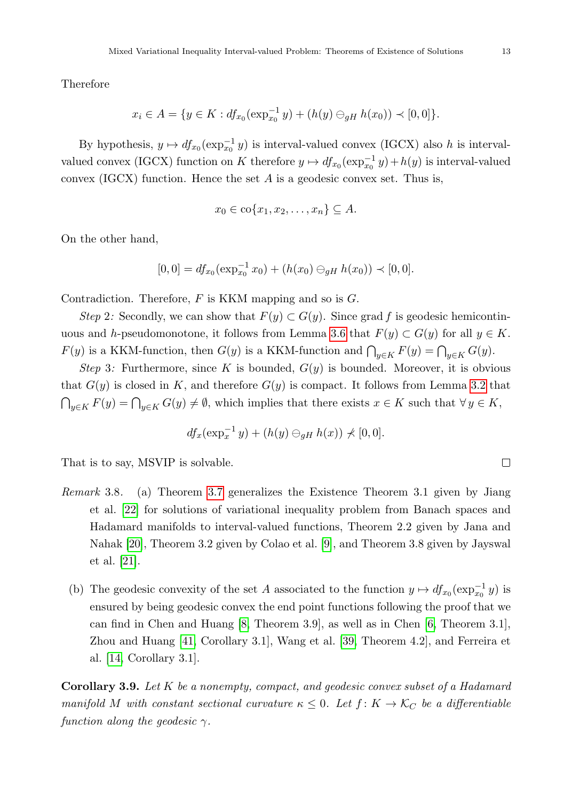Therefore

$$
x_i \in A = \{ y \in K : df_{x_0}(\exp_{x_0}^{-1} y) + (h(y) \ominus_{gH} h(x_0)) \prec [0,0] \}.
$$

By hypothesis,  $y \mapsto df_{x_0}(\exp_{x_0}^{-1}y)$  is interval-valued convex (IGCX) also h is intervalvalued convex (IGCX) function on K therefore  $y \mapsto df_{x_0}(\exp_{x_0}^{-1}y) + h(y)$  is interval-valued convex (IGCX) function. Hence the set  $A$  is a geodesic convex set. Thus is,

$$
x_0 \in \text{co}\{x_1, x_2, \dots, x_n\} \subseteq A.
$$

On the other hand,

$$
[0,0] = df_{x_0}(\exp_{x_0}^{-1} x_0) + (h(x_0) \ominus_{gH} h(x_0)) \prec [0,0].
$$

Contradiction. Therefore,  $F$  is KKM mapping and so is  $G$ .

Step 2: Secondly, we can show that  $F(y) \subset G(y)$ . Since grad f is geodesic hemicontin-uous and h-pseudomonotone, it follows from Lemma [3.6](#page-10-2) that  $F(y) \subset G(y)$  for all  $y \in K$ .  $F(y)$  is a KKM-function, then  $G(y)$  is a KKM-function and  $\bigcap_{y\in K} F(y) = \bigcap_{y\in K} G(y)$ .

Step 3: Furthermore, since K is bounded,  $G(y)$  is bounded. Moreover, it is obvious that  $G(y)$  is closed in K, and therefore  $G(y)$  is compact. It follows from Lemma [3.2](#page-9-0) that  $\bigcap_{y\in K} F(y) = \bigcap_{y\in K} G(y) \neq \emptyset$ , which implies that there exists  $x \in K$  such that  $\forall y \in K$ ,

$$
df_x(\exp_x^{-1} y) + (h(y) \ominus_{gH} h(x)) \nless [0,0].
$$

That is to say, MSVIP is solvable.

- Remark 3.8. (a) Theorem [3.7](#page-11-1) generalizes the Existence Theorem 3.1 given by Jiang et al. [\[22\]](#page-21-8) for solutions of variational inequality problem from Banach spaces and Hadamard manifolds to interval-valued functions, Theorem 2.2 given by Jana and Nahak [\[20\]](#page-21-1), Theorem 3.2 given by Colao et al. [\[9\]](#page-20-1), and Theorem 3.8 given by Jayswal et al. [\[21\]](#page-21-13).
	- (b) The geodesic convexity of the set A associated to the function  $y \mapsto df_{x_0}(\exp_{x_0}^{-1}y)$  is ensured by being geodesic convex the end point functions following the proof that we can find in Chen and Huang [\[8,](#page-20-8) Theorem 3.9], as well as in Chen [\[6,](#page-20-3) Theorem 3.1], Zhou and Huang [\[41,](#page-22-4) Corollary 3.1], Wang et al. [\[39,](#page-22-10) Theorem 4.2], and Ferreira et al. [\[14,](#page-20-10) Corollary 3.1].

Corollary 3.9. Let K be a nonempty, compact, and geodesic convex subset of a Hadamard manifold M with constant sectional curvature  $\kappa \leq 0$ . Let  $f: K \to \mathcal{K}_C$  be a differentiable function along the geodesic  $\gamma$ .

$$
\qquad \qquad \Box
$$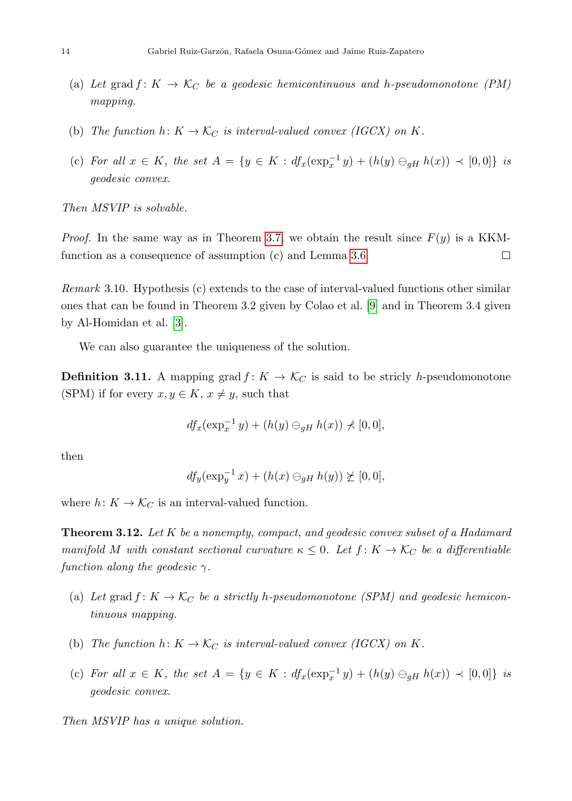- (a) Let grad  $f: K \to \mathcal{K}_C$  be a geodesic hemicontinuous and h-pseudomonotone (PM) mapping.
- (b) The function  $h: K \to \mathcal{K}_C$  is interval-valued convex (IGCX) on K.
- (c) For all  $x \in K$ , the set  $A = \{y \in K : df_x(\exp_x^{-1} y) + (h(y) \ominus_{gH} h(x)) \prec [0,0] \}$  is geodesic convex.

Then MSVIP is solvable.

*Proof.* In the same way as in Theorem [3.7,](#page-11-1) we obtain the result since  $F(y)$  is a KKMfunction as a consequence of assumption (c) and Lemma [3.6.](#page-10-2)  $\Box$ 

Remark 3.10. Hypothesis (c) extends to the case of interval-valued functions other similar ones that can be found in Theorem 3.2 given by Colao et al. [\[9\]](#page-20-1) and in Theorem 3.4 given by Al-Homidan et al. [\[3\]](#page-20-11).

We can also guarantee the uniqueness of the solution.

**Definition 3.11.** A mapping grad  $f: K \to \mathcal{K}_C$  is said to be stricly h-pseudomonotone (SPM) if for every  $x, y \in K$ ,  $x \neq y$ , such that

$$
df_x(\exp_x^{-1}y) + (h(y) \ominus_{gH} h(x)) \nless [0,0],
$$

then

$$
df_y(\exp_y^{-1}x) + (h(x) \ominus_{gH} h(y)) \not\succeq [0,0],
$$

where  $h: K \to \mathcal{K}_C$  is an interval-valued function.

<span id="page-13-0"></span>**Theorem 3.12.** Let K be a nonempty, compact, and geodesic convex subset of a Hadamard manifold M with constant sectional curvature  $\kappa \leq 0$ . Let  $f: K \to \mathcal{K}_C$  be a differentiable function along the geodesic  $\gamma$ .

- (a) Let grad  $f: K \to \mathcal{K}_C$  be a strictly h-pseudomonotone (SPM) and geodesic hemicontinuous mapping.
- (b) The function  $h: K \to \mathcal{K}_C$  is interval-valued convex (IGCX) on K.
- (c) For all  $x \in K$ , the set  $A = \{y \in K : df_x(\exp_x^{-1} y) + (h(y) \ominus_{gH} h(x)) \prec [0,0] \}$  is geodesic convex.

Then MSVIP has a unique solution.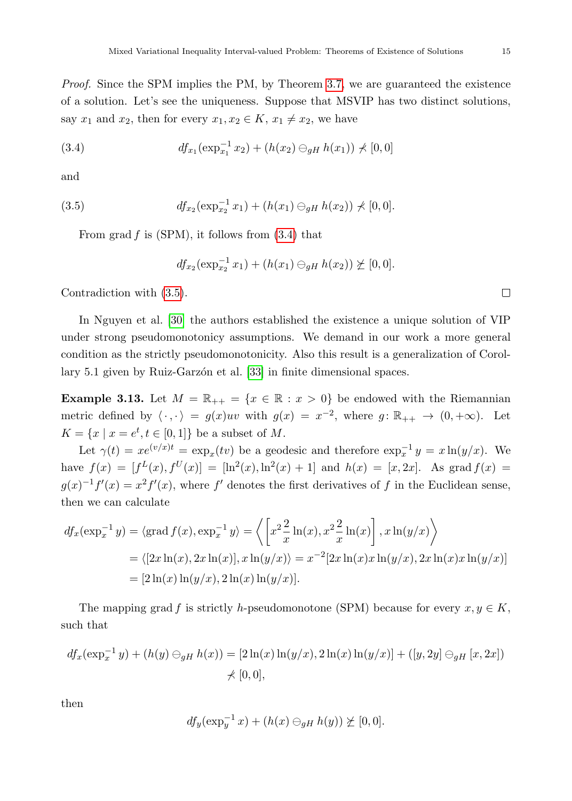Proof. Since the SPM implies the PM, by Theorem [3.7,](#page-11-1) we are guaranteed the existence of a solution. Let's see the uniqueness. Suppose that MSVIP has two distinct solutions, say  $x_1$  and  $x_2$ , then for every  $x_1, x_2 \in K$ ,  $x_1 \neq x_2$ , we have

<span id="page-14-0"></span>(3.4) 
$$
df_{x_1}(\exp_{x_1}^{-1} x_2) + (h(x_2) \ominus_{gH} h(x_1)) \nless [0,0]
$$

and

(3.5) 
$$
df_{x_2}(\exp_{x_2}^{-1}x_1) + (h(x_1) \ominus_{gH} h(x_2)) \nless [0,0].
$$

From grad  $f$  is (SPM), it follows from  $(3.4)$  that

<span id="page-14-1"></span>
$$
df_{x_2}(\exp_{x_2}^{-1}x_1) + (h(x_1) \ominus_{gH} h(x_2)) \not\succeq [0,0].
$$

Contradiction with [\(3.5\)](#page-14-1).

In Nguyen et al. [\[30\]](#page-22-11) the authors established the existence a unique solution of VIP under strong pseudomonotonicy assumptions. We demand in our work a more general condition as the strictly pseudomonotonicity. Also this result is a generalization of Corol-lary 5.1 given by Ruiz-Garzón et al. [\[33\]](#page-22-3) in finite dimensional spaces.

<span id="page-14-2"></span>**Example 3.13.** Let  $M = \mathbb{R}_{++} = \{x \in \mathbb{R} : x > 0\}$  be endowed with the Riemannian metric defined by  $\langle \cdot, \cdot \rangle = g(x)uv$  with  $g(x) = x^{-2}$ , where  $g: \mathbb{R}_{++} \to (0, +\infty)$ . Let  $K = \{x \mid x = e^t, t \in [0,1]\}$  be a subset of M.

Let  $\gamma(t) = xe^{(v/x)t} = \exp_x(tv)$  be a geodesic and therefore  $\exp_x^{-1} y = x \ln(y/x)$ . We have  $f(x) = [f^L(x), f^U(x)] = [\ln^2(x), \ln^2(x) + 1]$  and  $h(x) = [x, 2x]$ . As grad  $f(x) =$  $g(x)^{-1}f'(x) = x^2f'(x)$ , where f' denotes the first derivatives of f in the Euclidean sense, then we can calculate

$$
df_x(\exp_x^{-1} y) = \langle \operatorname{grad} f(x), \exp_x^{-1} y \rangle = \left\langle \left[ x^2 \frac{2}{x} \ln(x), x^2 \frac{2}{x} \ln(x) \right], x \ln(y/x) \right\rangle
$$
  
=  $\langle [2x \ln(x), 2x \ln(x)], x \ln(y/x) \rangle = x^{-2} [2x \ln(x)x \ln(y/x), 2x \ln(x)x \ln(y/x)]$   
=  $[2 \ln(x) \ln(y/x), 2 \ln(x) \ln(y/x)].$ 

The mapping grad f is strictly h-pseudomonotone (SPM) because for every  $x, y \in K$ , such that

$$
df_x(\exp_x^{-1} y) + (h(y) \ominus_{gH} h(x)) = [2\ln(x)\ln(y/x), 2\ln(x)\ln(y/x)] + ([y, 2y] \ominus_{gH} [x, 2x])
$$
  
\$\neq [0, 0],

then

$$
df_y(\exp_y^{-1}x) + (h(x) \ominus_{gH} h(y)) \not\succeq [0,0].
$$

 $\Box$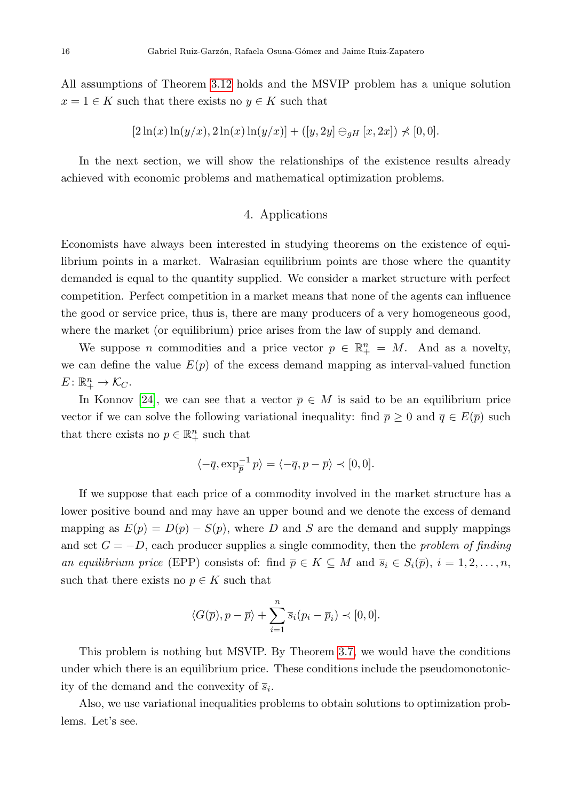All assumptions of Theorem [3.12](#page-13-0) holds and the MSVIP problem has a unique solution  $x = 1 \in K$  such that there exists no  $y \in K$  such that

$$
[2\ln(x)\ln(y/x), 2\ln(x)\ln(y/x)] + ([y, 2y] \ominus_{gH} [x, 2x]) \nless [0, 0].
$$

<span id="page-15-0"></span>In the next section, we will show the relationships of the existence results already achieved with economic problems and mathematical optimization problems.

# 4. Applications

Economists have always been interested in studying theorems on the existence of equilibrium points in a market. Walrasian equilibrium points are those where the quantity demanded is equal to the quantity supplied. We consider a market structure with perfect competition. Perfect competition in a market means that none of the agents can influence the good or service price, thus is, there are many producers of a very homogeneous good, where the market (or equilibrium) price arises from the law of supply and demand.

We suppose *n* commodities and a price vector  $p \in \mathbb{R}^n_+ = M$ . And as a novelty, we can define the value  $E(p)$  of the excess demand mapping as interval-valued function  $E\colon \mathbb{R}^n_+ \to \mathcal{K}_C.$ 

In Konnov [\[24\]](#page-21-0), we can see that a vector  $\bar{p} \in M$  is said to be an equilibrium price vector if we can solve the following variational inequality: find  $\bar{p} \geq 0$  and  $\bar{q} \in E(\bar{p})$  such that there exists no  $p \in \mathbb{R}^n_+$  such that

$$
\langle -\overline{q}, \exp_{\overline{p}}^{-1} p \rangle = \langle -\overline{q}, p - \overline{p} \rangle \prec [0, 0].
$$

If we suppose that each price of a commodity involved in the market structure has a lower positive bound and may have an upper bound and we denote the excess of demand mapping as  $E(p) = D(p) - S(p)$ , where D and S are the demand and supply mappings and set  $G = -D$ , each producer supplies a single commodity, then the *problem of finding* an equilibrium price (EPP) consists of: find  $\overline{p} \in K \subseteq M$  and  $\overline{s}_i \in S_i(\overline{p}), i = 1, 2, \ldots, n$ , such that there exists no  $p \in K$  such that

$$
\langle G(\overline{p}), p - \overline{p} \rangle + \sum_{i=1}^{n} \overline{s}_i (p_i - \overline{p}_i) \prec [0, 0].
$$

This problem is nothing but MSVIP. By Theorem [3.7,](#page-11-1) we would have the conditions under which there is an equilibrium price. These conditions include the pseudomonotonicity of the demand and the convexity of  $\overline{s}_i$ .

Also, we use variational inequalities problems to obtain solutions to optimization problems. Let's see.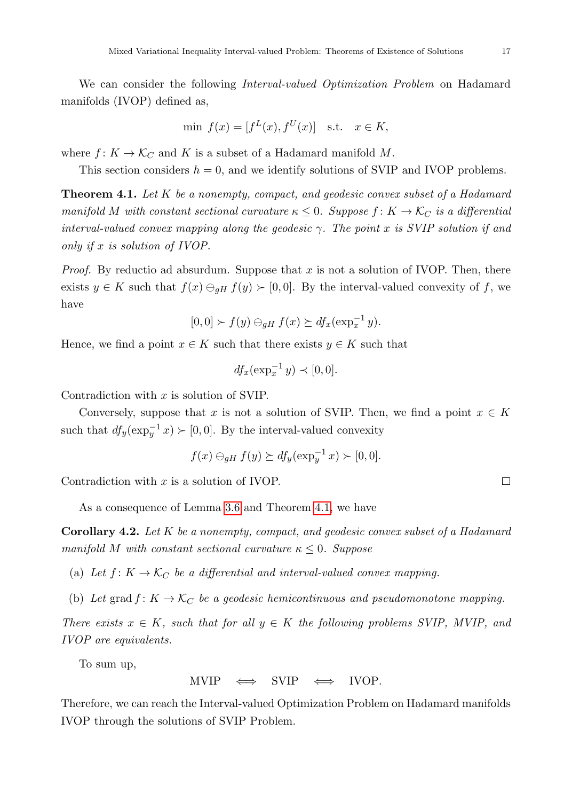We can consider the following *Interval-valued Optimization Problem* on Hadamard manifolds (IVOP) defined as,

$$
\min f(x) = [f^L(x), f^U(x)] \quad \text{s.t.} \quad x \in K,
$$

where  $f: K \to \mathcal{K}_C$  and K is a subset of a Hadamard manifold M.

This section considers  $h = 0$ , and we identify solutions of SVIP and IVOP problems.

<span id="page-16-0"></span>**Theorem 4.1.** Let  $K$  be a nonempty, compact, and geodesic convex subset of a Hadamard manifold M with constant sectional curvature  $\kappa \leq 0$ . Suppose  $f: K \to \mathcal{K}_C$  is a differential interval-valued convex mapping along the geodesic  $\gamma$ . The point x is SVIP solution if and only if x is solution of IVOP.

*Proof.* By reductio ad absurdum. Suppose that x is not a solution of IVOP. Then, there exists  $y \in K$  such that  $f(x) \ominus_{qH} f(y) \succ [0, 0]$ . By the interval-valued convexity of f, we have

$$
[0,0] \succ f(y) \ominus_{gH} f(x) \succeq df_x(\exp_x^{-1} y).
$$

Hence, we find a point  $x \in K$  such that there exists  $y \in K$  such that

$$
df_x(\exp_x^{-1} y) \prec [0,0].
$$

Contradiction with  $x$  is solution of SVIP.

Conversely, suppose that x is not a solution of SVIP. Then, we find a point  $x \in K$ such that  $df_y(\exp_y^{-1} x) \succ [0, 0]$ . By the interval-valued convexity

$$
f(x) \ominus_{gH} f(y) \succeq df_y(\exp_y^{-1} x) \succ [0,0].
$$

Contradiction with  $x$  is a solution of IVOP.

As a consequence of Lemma [3.6](#page-10-2) and Theorem [4.1,](#page-16-0) we have

<span id="page-16-1"></span>Corollary 4.2. Let K be a nonempty, compact, and geodesic convex subset of a Hadamard manifold M with constant sectional curvature  $\kappa \leq 0$ . Suppose

- (a) Let  $f: K \to \mathcal{K}_C$  be a differential and interval-valued convex mapping.
- (b) Let grad  $f: K \to \mathcal{K}_C$  be a geodesic hemicontinuous and pseudomonotone mapping.

There exists  $x \in K$ , such that for all  $y \in K$  the following problems SVIP, MVIP, and IVOP are equivalents.

To sum up,

MVIP  $\Leftrightarrow$  SVIP  $\Leftrightarrow$  IVOP.

Therefore, we can reach the Interval-valued Optimization Problem on Hadamard manifolds IVOP through the solutions of SVIP Problem.

 $\Box$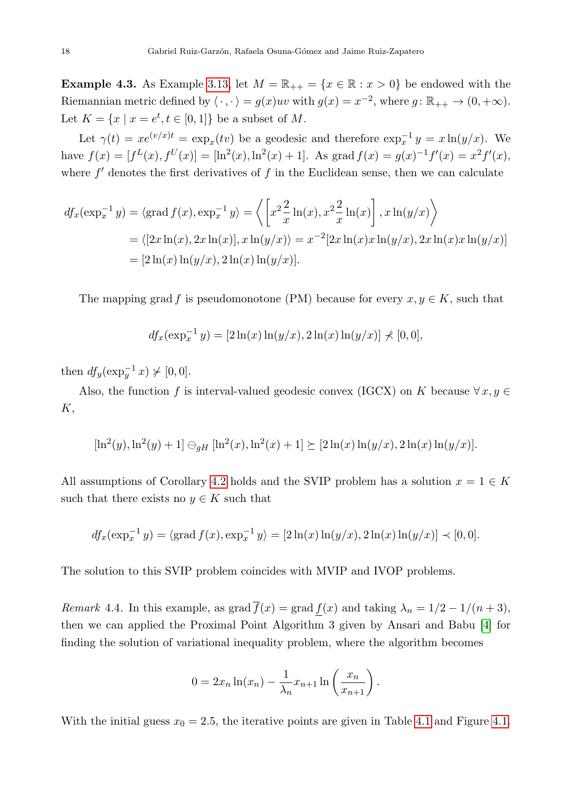**Example 4.3.** As Example [3.13,](#page-14-2) let  $M = \mathbb{R}_{++} = \{x \in \mathbb{R} : x > 0\}$  be endowed with the Riemannian metric defined by  $\langle \cdot, \cdot \rangle = g(x)uv$  with  $g(x) = x^{-2}$ , where  $g: \mathbb{R}_{++} \to (0, +\infty)$ . Let  $K = \{x \mid x = e^t, t \in [0, 1]\}$  be a subset of M.

Let  $\gamma(t) = xe^{(v/x)t} = \exp_x(tv)$  be a geodesic and therefore  $\exp_x^{-1} y = x \ln(y/x)$ . We have  $f(x) = [f^L(x), f^U(x)] = [\ln^2(x), \ln^2(x) + 1]$ . As grad  $f(x) = g(x)^{-1}f'(x) = x^2f'(x)$ , where  $f'$  denotes the first derivatives of  $f$  in the Euclidean sense, then we can calculate

$$
df_x(\exp_x^{-1} y) = \langle \operatorname{grad} f(x), \exp_x^{-1} y \rangle = \langle \left[ x^2 \frac{2}{x} \ln(x), x^2 \frac{2}{x} \ln(x) \right], x \ln(y/x) \rangle
$$
  
=  $\langle [2x \ln(x), 2x \ln(x)], x \ln(y/x) \rangle = x^{-2} [2x \ln(x)x \ln(y/x), 2x \ln(x)x \ln(y/x)]$   
=  $[2 \ln(x) \ln(y/x), 2 \ln(x) \ln(y/x)].$ 

The mapping grad f is pseudomonotone (PM) because for every  $x, y \in K$ , such that

$$
df_x(\exp_x^{-1} y) = [2\ln(x)\ln(y/x), 2\ln(x)\ln(y/x)] \nless [0,0],
$$

then  $df_y(\exp_y^{-1} x) \not\succ [0, 0].$ 

Also, the function f is interval-valued geodesic convex (IGCX) on K because  $\forall x, y \in$ K,

$$
[\ln^{2}(y), \ln^{2}(y) + 1] \ominus_{gH} [\ln^{2}(x), \ln^{2}(x) + 1] \succeq [2\ln(x)\ln(y/x), 2\ln(x)\ln(y/x)].
$$

All assumptions of Corollary [4.2](#page-16-1) holds and the SVIP problem has a solution  $x = 1 \in K$ such that there exists no  $y \in K$  such that

$$
df_x(\exp_x^{-1} y) = \langle \text{grad } f(x), \exp_x^{-1} y \rangle = [2\ln(x)\ln(y/x), 2\ln(x)\ln(y/x)] \prec [0, 0].
$$

The solution to this SVIP problem coincides with MVIP and IVOP problems.

Remark 4.4. In this example, as grad  $\overline{f}(x) = \text{grad } f(x)$  and taking  $\lambda_n = 1/2 - 1/(n+3)$ , then we can applied the Proximal Point Algorithm 3 given by Ansari and Babu [\[4\]](#page-20-12) for finding the solution of variational inequality problem, where the algorithm becomes

$$
0 = 2x_n \ln(x_n) - \frac{1}{\lambda_n} x_{n+1} \ln\left(\frac{x_n}{x_{n+1}}\right).
$$

With the initial guess  $x_0 = 2.5$ , the iterative points are given in Table [4.1](#page-18-1) and Figure [4.1.](#page-18-2)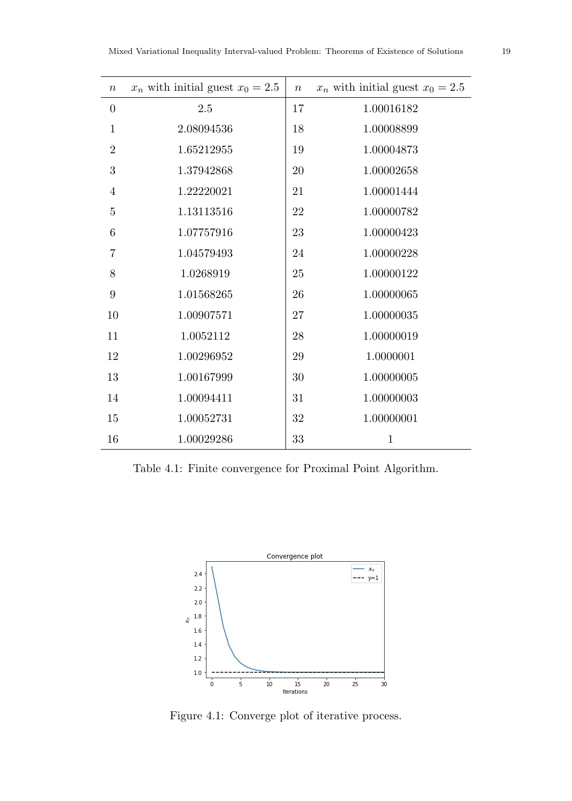<span id="page-18-1"></span>

| $\, n$           | $x_n$ with initial guest $x_0 = 2.5$ | $\,n$  | $x_n$ with initial guest $x_0 = 2.5$ |
|------------------|--------------------------------------|--------|--------------------------------------|
| $\boldsymbol{0}$ | $2.5\,$                              | 17     | 1.00016182                           |
| $\mathbf{1}$     | 2.08094536                           | 18     | 1.00008899                           |
| $\overline{2}$   | 1.65212955                           | 19     | 1.00004873                           |
| 3                | 1.37942868                           | 20     | 1.00002658                           |
| 4                | 1.22220021                           | 21     | 1.00001444                           |
| $\overline{5}$   | 1.13113516                           | 22     | 1.00000782                           |
| 6                | 1.07757916                           | 23     | 1.00000423                           |
| $\overline{7}$   | 1.04579493                           | 24     | 1.00000228                           |
| 8                | 1.0268919                            | 25     | 1.00000122                           |
| 9                | 1.01568265                           | 26     | 1.00000065                           |
| 10               | 1.00907571                           | $27\,$ | 1.00000035                           |
| 11               | 1.0052112                            | 28     | 1.00000019                           |
| 12               | 1.00296952                           | $\,29$ | 1.0000001                            |
| 13               | 1.00167999                           | 30     | 1.00000005                           |
| 14               | 1.00094411                           | 31     | 1.00000003                           |
| 15               | 1.00052731                           | $32\,$ | 1.00000001                           |
| 16               | 1.00029286                           | 33     | $\mathbf{1}$                         |

<span id="page-18-2"></span>Table 4.1: Finite convergence for Proximal Point Algorithm.



<span id="page-18-0"></span>Figure 4.1: Converge plot of iterative process.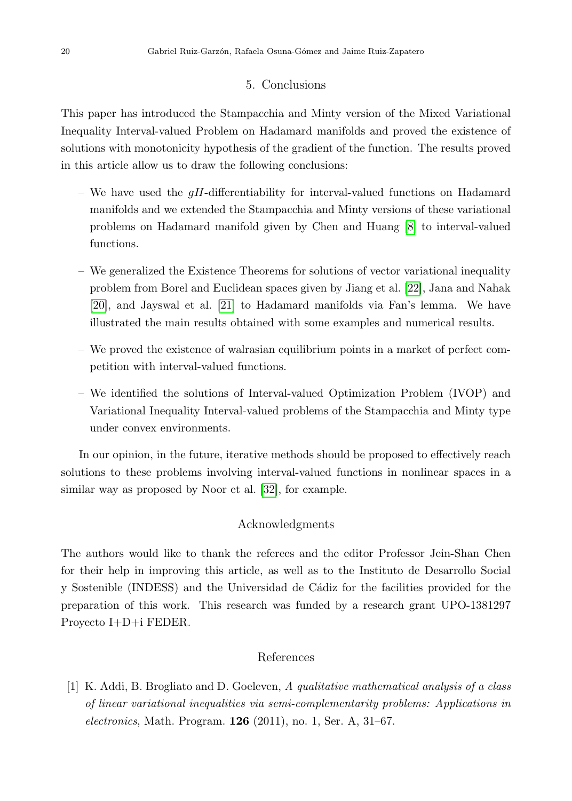## 5. Conclusions

This paper has introduced the Stampacchia and Minty version of the Mixed Variational Inequality Interval-valued Problem on Hadamard manifolds and proved the existence of solutions with monotonicity hypothesis of the gradient of the function. The results proved in this article allow us to draw the following conclusions:

- We have used the  $qH$ -differentiability for interval-valued functions on Hadamard manifolds and we extended the Stampacchia and Minty versions of these variational problems on Hadamard manifold given by Chen and Huang [\[8\]](#page-20-8) to interval-valued functions.
- We generalized the Existence Theorems for solutions of vector variational inequality problem from Borel and Euclidean spaces given by Jiang et al. [\[22\]](#page-21-8), Jana and Nahak [\[20\]](#page-21-1), and Jayswal et al. [\[21\]](#page-21-13) to Hadamard manifolds via Fan's lemma. We have illustrated the main results obtained with some examples and numerical results.
- We proved the existence of walrasian equilibrium points in a market of perfect competition with interval-valued functions.
- We identified the solutions of Interval-valued Optimization Problem (IVOP) and Variational Inequality Interval-valued problems of the Stampacchia and Minty type under convex environments.

In our opinion, in the future, iterative methods should be proposed to effectively reach solutions to these problems involving interval-valued functions in nonlinear spaces in a similar way as proposed by Noor et al. [\[32\]](#page-22-12), for example.

# Acknowledgments

The authors would like to thank the referees and the editor Professor Jein-Shan Chen for their help in improving this article, as well as to the Instituto de Desarrollo Social y Sostenible (INDESS) and the Universidad de Cádiz for the facilities provided for the preparation of this work. This research was funded by a research grant UPO-1381297 Proyecto I+D+i FEDER.

## References

<span id="page-19-0"></span>[1] K. Addi, B. Brogliato and D. Goeleven, A qualitative mathematical analysis of a class of linear variational inequalities via semi-complementarity problems: Applications in *electronics*, Math. Program. **126** (2011), no. 1, Ser. A, 31–67.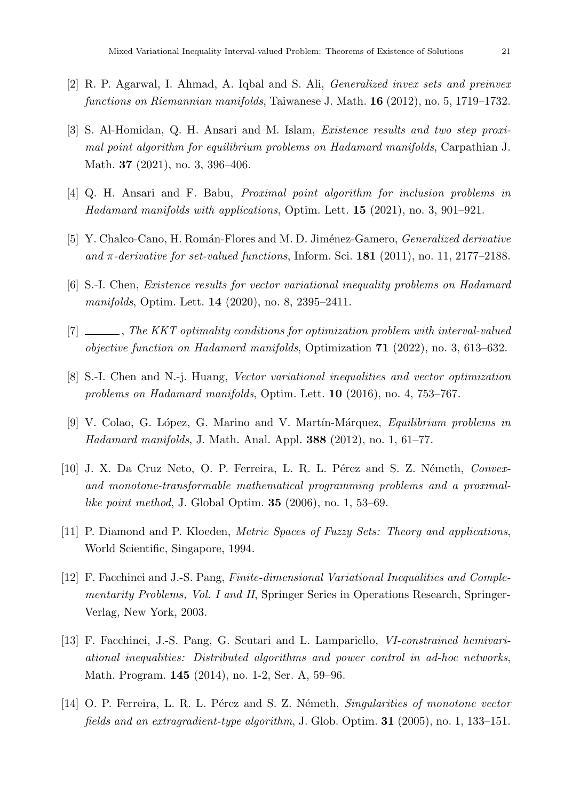- <span id="page-20-2"></span>[2] R. P. Agarwal, I. Ahmad, A. Iqbal and S. Ali, Generalized invex sets and preinvex functions on Riemannian manifolds, Taiwanese J. Math. 16 (2012), no. 5, 1719–1732.
- <span id="page-20-11"></span>[3] S. Al-Homidan, Q. H. Ansari and M. Islam, Existence results and two step proximal point algorithm for equilibrium problems on Hadamard manifolds, Carpathian J. Math. 37 (2021), no. 3, 396–406.
- <span id="page-20-12"></span>[4] Q. H. Ansari and F. Babu, Proximal point algorithm for inclusion problems in Hadamard manifolds with applications, Optim. Lett. 15 (2021), no. 3, 901–921.
- <span id="page-20-7"></span>[5] Y. Chalco-Cano, H. Román-Flores and M. D. Jiménez-Gamero, *Generalized derivative* and  $\pi$ -derivative for set-valued functions, Inform. Sci. 181 (2011), no. 11, 2177–2188.
- <span id="page-20-3"></span>[6] S.-I. Chen, Existence results for vector variational inequality problems on Hadamard manifolds, Optim. Lett. 14 (2020), no. 8, 2395–2411.
- <span id="page-20-4"></span>[7] , The KKT optimality conditions for optimization problem with interval-valued *objective function on Hadamard manifolds*, Optimization  $71$  (2022), no. 3, 613–632.
- <span id="page-20-8"></span>[8] S.-I. Chen and N.-j. Huang, Vector variational inequalities and vector optimization problems on Hadamard manifolds, Optim. Lett. 10 (2016), no. 4, 753–767.
- <span id="page-20-1"></span>[9] V. Colao, G. López, G. Marino and V. Martín-Márquez, *Equilibrium problems in Hadamard manifolds*, J. Math. Anal. Appl. **388** (2012), no. 1, 61–77.
- <span id="page-20-5"></span>[10] J. X. Da Cruz Neto, O. P. Ferreira, L. R. L. Pérez and S. Z. Németh, Convexand monotone-transformable mathematical programming problems and a proximallike point method, J. Global Optim. 35 (2006), no. 1, 53–69.
- <span id="page-20-6"></span>[11] P. Diamond and P. Kloeden, Metric Spaces of Fuzzy Sets: Theory and applications, World Scientific, Singapore, 1994.
- <span id="page-20-9"></span>[12] F. Facchinei and J.-S. Pang, Finite-dimensional Variational Inequalities and Complementarity Problems, Vol. I and II, Springer Series in Operations Research, Springer-Verlag, New York, 2003.
- <span id="page-20-0"></span>[13] F. Facchinei, J.-S. Pang, G. Scutari and L. Lampariello, VI-constrained hemivariational inequalities: Distributed algorithms and power control in ad-hoc networks, Math. Program. 145 (2014), no. 1-2, Ser. A, 59–96.
- <span id="page-20-10"></span>[14] O. P. Ferreira, L. R. L. Pérez and S. Z. Németh, Singularities of monotone vector fields and an extragradient-type algorithm, J. Glob. Optim. 31 (2005), no. 1, 133–151.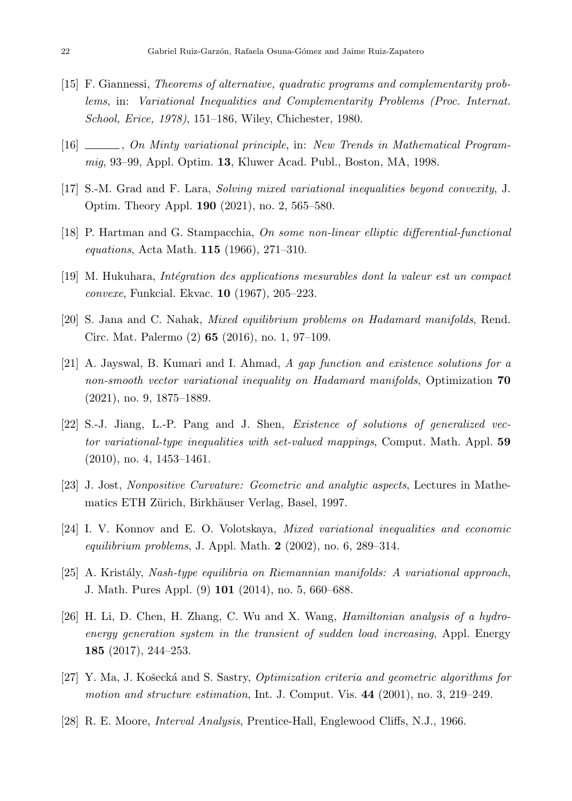- <span id="page-21-6"></span>[15] F. Giannessi, Theorems of alternative, quadratic programs and complementarity problems, in: Variational Inequalities and Complementarity Problems (Proc. Internat. School, Erice, 1978), 151–186, Wiley, Chichester, 1980.
- <span id="page-21-7"></span>[16] , On Minty variational principle, in: New Trends in Mathematical Programmig, 93–99, Appl. Optim. 13, Kluwer Acad. Publ., Boston, MA, 1998.
- <span id="page-21-9"></span>[17] S.-M. Grad and F. Lara, Solving mixed variational inequalities beyond convexity, J. Optim. Theory Appl. 190 (2021), no. 2, 565–580.
- <span id="page-21-12"></span>[18] P. Hartman and G. Stampacchia, On some non-linear elliptic differential-functional equations, Acta Math. 115 (1966), 271–310.
- <span id="page-21-11"></span>[19] M. Hukuhara, *Intégration des applications mesurables dont la valeur est un compact* convexe, Funkcial. Ekvac. 10 (1967), 205–223.
- <span id="page-21-1"></span>[20] S. Jana and C. Nahak, Mixed equilibrium problems on Hadamard manifolds, Rend. Circ. Mat. Palermo (2) 65 (2016), no. 1, 97–109.
- <span id="page-21-13"></span>[21] A. Jayswal, B. Kumari and I. Ahmad, A gap function and existence solutions for a non-smooth vector variational inequality on Hadamard manifolds, Optimization 70 (2021), no. 9, 1875–1889.
- <span id="page-21-8"></span>[22] S.-J. Jiang, L.-P. Pang and J. Shen, Existence of solutions of generalized vector variational-type inequalities with set-valued mappings, Comput. Math. Appl. 59 (2010), no. 4, 1453–1461.
- <span id="page-21-10"></span>[23] J. Jost, Nonpositive Curvature: Geometric and analytic aspects, Lectures in Mathematics ETH Zürich, Birkhäuser Verlag, Basel, 1997.
- <span id="page-21-0"></span>[24] I. V. Konnov and E. O. Volotskaya, Mixed variational inequalities and economic equilibrium problems, J. Appl. Math.  $2$  (2002), no. 6, 289–314.
- <span id="page-21-5"></span>[25] A. Kristály, Nash-type equilibria on Riemannian manifolds: A variational approach, J. Math. Pures Appl. (9) 101 (2014), no. 5, 660–688.
- <span id="page-21-3"></span>[26] H. Li, D. Chen, H. Zhang, C. Wu and X. Wang, Hamiltonian analysis of a hydroenergy generation system in the transient of sudden load increasing, Appl. Energy 185 (2017), 244–253.
- <span id="page-21-4"></span>[27] Y. Ma, J. Košecká and S. Sastry, *Optimization criteria and geometric algorithms for* motion and structure estimation, Int. J. Comput. Vis.  $44$  (2001), no. 3, 219–249.
- <span id="page-21-2"></span>[28] R. E. Moore, Interval Analysis, Prentice-Hall, Englewood Cliffs, N.J., 1966.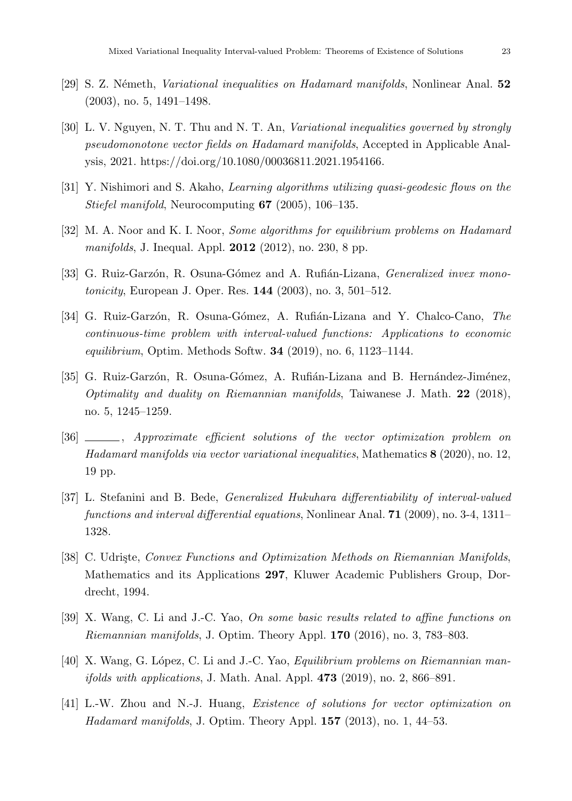- <span id="page-22-2"></span>[29] S. Z. Németh, *Variational inequalities on Hadamard manifolds*, Nonlinear Anal.  $52$ (2003), no. 5, 1491–1498.
- <span id="page-22-11"></span>[30] L. V. Nguyen, N. T. Thu and N. T. An, Variational inequalities governed by strongly pseudomonotone vector fields on Hadamard manifolds, Accepted in Applicable Analysis, 2021. https://doi.org/10.1080/00036811.2021.1954166.
- <span id="page-22-0"></span>[31] Y. Nishimori and S. Akaho, Learning algorithms utilizing quasi-geodesic flows on the Stiefel manifold, Neurocomputing 67 (2005), 106–135.
- <span id="page-22-12"></span>[32] M. A. Noor and K. I. Noor, Some algorithms for equilibrium problems on Hadamard *manifolds*, J. Inequal. Appl. **2012** (2012), no. 230, 8 pp.
- <span id="page-22-3"></span>[33] G. Ruiz-Garzón, R. Osuna-Gómez and A. Rufián-Lizana, *Generalized invex mono*tonicity, European J. Oper. Res. 144 (2003), no. 3, 501–512.
- <span id="page-22-9"></span>[34] G. Ruiz-Garzón, R. Osuna-Gómez, A. Rufián-Lizana and Y. Chalco-Cano, The continuous-time problem with interval-valued functions: Applications to economic equilibrium, Optim. Methods Softw. 34 (2019), no. 6, 1123–1144.
- <span id="page-22-5"></span>[35] G. Ruiz-Garzón, R. Osuna-Gómez, A. Rufián-Lizana and B. Hernández-Jiménez, Optimality and duality on Riemannian manifolds, Taiwanese J. Math.  $22$  (2018), no. 5, 1245–1259.
- <span id="page-22-1"></span>[36] , Approximate efficient solutions of the vector optimization problem on Hadamard manifolds via vector variational inequalities, Mathematics 8 (2020), no. 12, 19 pp.
- <span id="page-22-8"></span>[37] L. Stefanini and B. Bede, Generalized Hukuhara differentiability of interval-valued functions and interval differential equations, Nonlinear Anal. 71 (2009), no. 3-4, 1311– 1328.
- <span id="page-22-7"></span>[38] C. Udriste, Convex Functions and Optimization Methods on Riemannian Manifolds, Mathematics and its Applications 297, Kluwer Academic Publishers Group, Dordrecht, 1994.
- <span id="page-22-10"></span>[39] X. Wang, C. Li and J.-C. Yao, On some basic results related to affine functions on Riemannian manifolds, J. Optim. Theory Appl. 170 (2016), no. 3, 783–803.
- <span id="page-22-6"></span>[40] X. Wang, G. López, C. Li and J.-C. Yao, Equilibrium problems on Riemannian man*ifolds with applications, J. Math. Anal. Appl.*  $473$  (2019), no. 2, 866–891.
- <span id="page-22-4"></span>[41] L.-W. Zhou and N.-J. Huang, Existence of solutions for vector optimization on Hadamard manifolds, J. Optim. Theory Appl.  $157$  (2013), no. 1, 44–53.